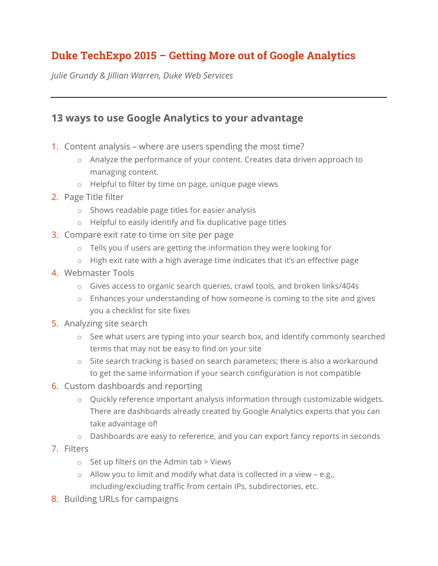## **Duke TechExpo 2015 – Getting More out of Google Analytics**

*Julie Grundy & Jillian Warren, Duke Web Services*

## **13 ways to use Google Analytics to your advantage**

- 1. Content analysis where are users spending the most time?
	- o Analyze the performance of your content. Creates data driven approach to managing content.
	- o Helpful to filter by time on page, unique page views
- 2. Page Title filter
	- o Shows readable page titles for easier analysis
	- o Helpful to easily identify and fix duplicative page titles
- 3. Compare exit rate to time on site per page
	- o Tells you if users are getting the information they were looking for
	- $\circ$  High exit rate with a high average time indicates that it's an effective page
- 4. Webmaster Tools
	- o Gives access to organic search queries, crawl tools, and broken links/404s
	- o Enhances your understanding of how someone is coming to the site and gives you a checklist for site fixes
- 5. Analyzing site search
	- o See what users are typing into your search box, and identify commonly searched terms that may not be easy to find on your site
	- o Site search tracking is based on search parameters; there is also a workaround to get the same information if your search configuration is not compatible
- 6. Custom dashboards and reporting
	- o Quickly reference important analysis information through customizable widgets. There are dashboards already created by Google Analytics experts that you can take advantage of!
	- o Dashboards are easy to reference, and you can export fancy reports in seconds
- 7. Filters
	- $\circ$  Set up filters on the Admin tab > Views
	- $\circ$  Allow you to limit and modify what data is collected in a view e.g., including/excluding traffic from certain IPs, subdirectories, etc.
- 8. Building URLs for campaigns